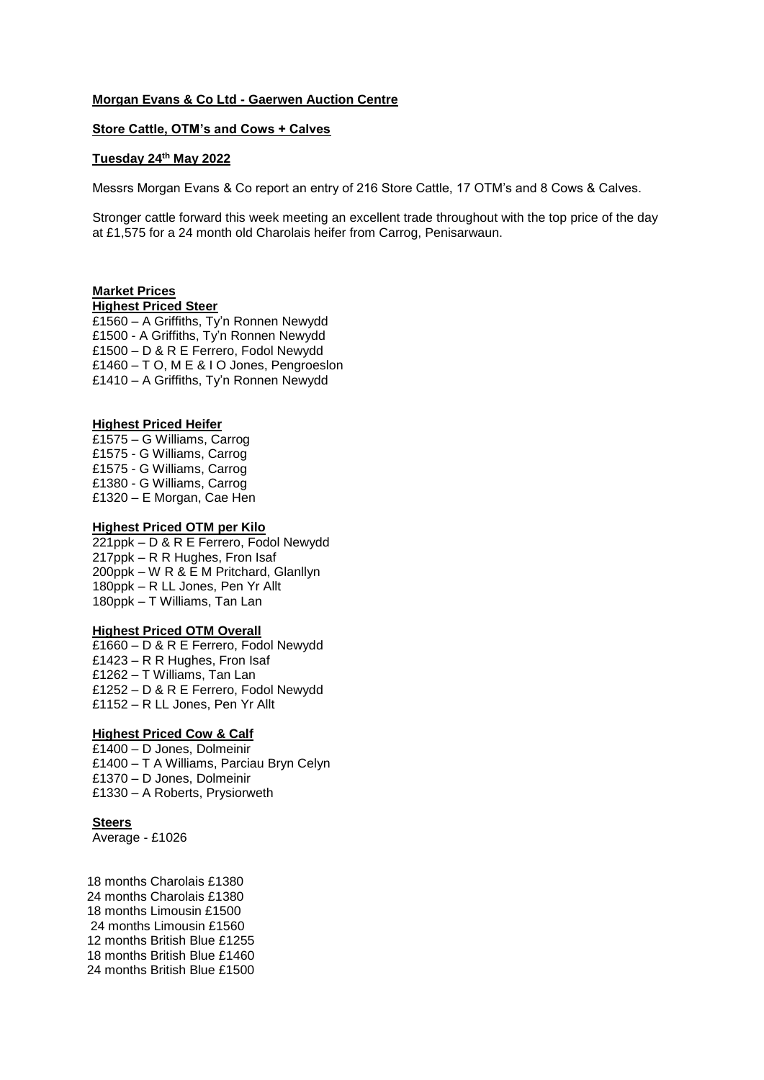# **Morgan Evans & Co Ltd - Gaerwen Auction Centre**

#### **Store Cattle, OTM's and Cows + Calves**

#### **Tuesday 24th May 2022**

Messrs Morgan Evans & Co report an entry of 216 Store Cattle, 17 OTM's and 8 Cows & Calves.

Stronger cattle forward this week meeting an excellent trade throughout with the top price of the day at £1,575 for a 24 month old Charolais heifer from Carrog, Penisarwaun.

# **Market Prices**

**Highest Priced Steer**

£1560 – A Griffiths, Ty'n Ronnen Newydd £1500 - A Griffiths, Ty'n Ronnen Newydd £1500 – D & R E Ferrero, Fodol Newydd £1460 – T O, M E & I O Jones, Pengroeslon £1410 – A Griffiths, Ty'n Ronnen Newydd

### **Highest Priced Heifer**

£1575 – G Williams, Carrog £1575 - G Williams, Carrog £1575 - G Williams, Carrog £1380 - G Williams, Carrog £1320 – E Morgan, Cae Hen

#### **Highest Priced OTM per Kilo**

221ppk – D & R E Ferrero, Fodol Newydd 217ppk – R R Hughes, Fron Isaf 200ppk – W R & E M Pritchard, Glanllyn 180ppk – R LL Jones, Pen Yr Allt 180ppk – T Williams, Tan Lan

#### **Highest Priced OTM Overall**

£1660 – D & R E Ferrero, Fodol Newydd £1423 – R R Hughes, Fron Isaf £1262 – T Williams, Tan Lan £1252 – D & R E Ferrero, Fodol Newydd £1152 – R LL Jones, Pen Yr Allt

### **Highest Priced Cow & Calf**

£1400 – D Jones, Dolmeinir £1400 – T A Williams, Parciau Bryn Celyn £1370 – D Jones, Dolmeinir £1330 – A Roberts, Prysiorweth

#### **Steers**

Average - £1026

18 months Charolais £1380 24 months Charolais £1380 18 months Limousin £1500 24 months Limousin £1560 12 months British Blue £1255 18 months British Blue £1460 24 months British Blue £1500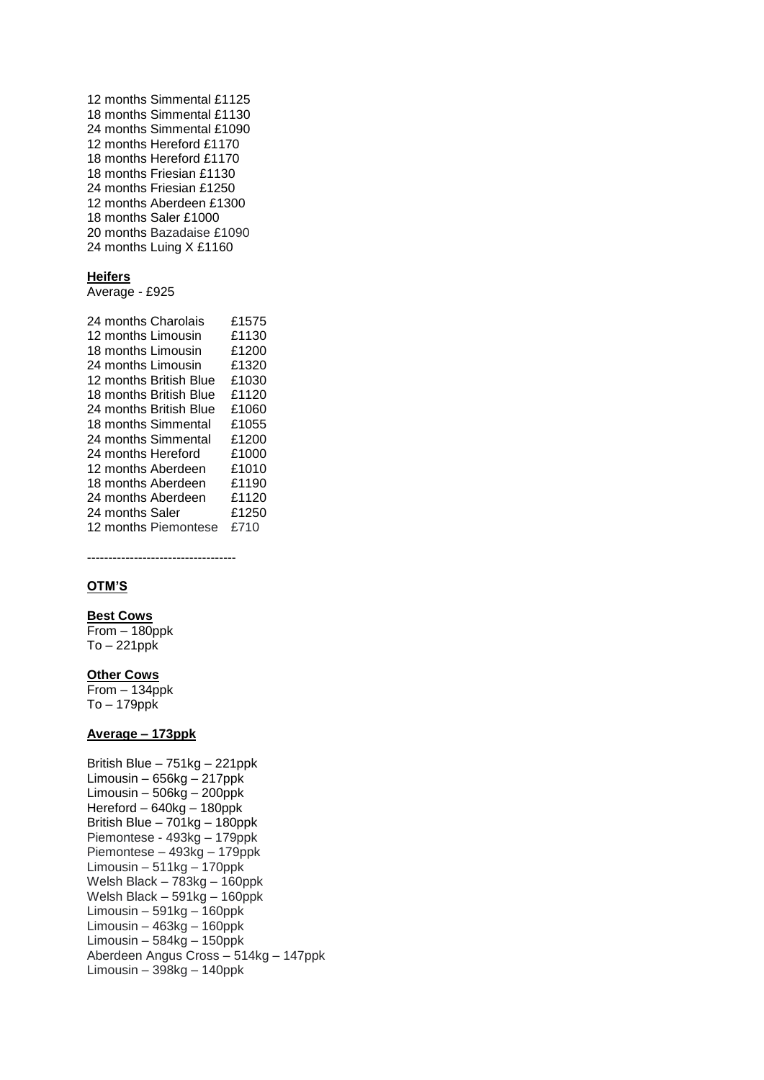12 months Simmental £1125 18 months Simmental £1130 24 months Simmental £1090 12 months Hereford £1170 18 months Hereford £1170 18 months Friesian £1130 24 months Friesian £1250 12 months Aberdeen £1300 18 months Saler £1000 20 months Bazadaise £1090 24 months Luing X £1160

#### **Heifers**

Average - £925

| 24 months Charolais    | £1575 |
|------------------------|-------|
| 12 months Limousin     | £1130 |
| 18 months Limousin     | £1200 |
| 24 months Limousin     | £1320 |
| 12 months British Blue | £1030 |
| 18 months British Blue | £1120 |
| 24 months British Blue | £1060 |
| 18 months Simmental    | £1055 |
| 24 months Simmental    | £1200 |
| 24 months Hereford     | £1000 |
| 12 months Aberdeen     | £1010 |
| 18 months Aberdeen     | £1190 |
| 24 months Aberdeen     | £1120 |
| 24 months Saler        | £1250 |
| 12 months Piemontese   | £710  |

-----------------------------------

# **OTM'S**

# **Best Cows**

From – 180ppk  $To - 221$ ppk

# **Other Cows**

From – 134ppk To – 179ppk

#### **Average – 173ppk**

British Blue – 751kg – 221ppk Limousin – 656kg – 217ppk Limousin –  $506kg - 200ppk$ Hereford – 640kg – 180ppk British Blue – 701kg – 180ppk Piemontese - 493kg – 179ppk Piemontese – 493kg – 179ppk Limousin – 511kg – 170ppk Welsh Black – 783kg – 160ppk Welsh Black – 591kg – 160ppk Limousin – 591kg – 160ppk Limousin  $-463kg - 160ppk$ Limousin –  $584kg - 150ppk$ Aberdeen Angus Cross – 514kg – 147ppk Limousin –  $398kg - 140ppk$